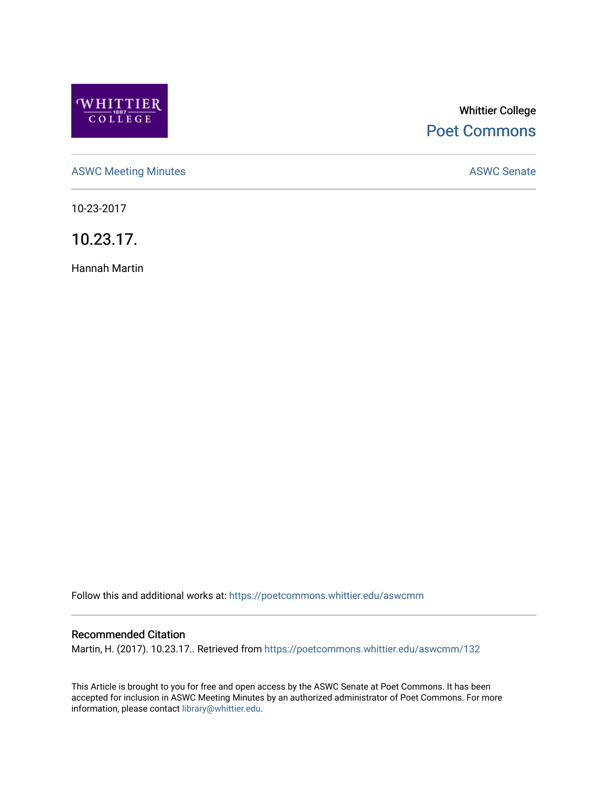

# Whittier College [Poet Commons](https://poetcommons.whittier.edu/)

[ASWC Meeting Minutes](https://poetcommons.whittier.edu/aswcmm) **ASWC Senate** 

10-23-2017

10.23.17.

Hannah Martin

Follow this and additional works at: [https://poetcommons.whittier.edu/aswcmm](https://poetcommons.whittier.edu/aswcmm?utm_source=poetcommons.whittier.edu%2Faswcmm%2F132&utm_medium=PDF&utm_campaign=PDFCoverPages)

### Recommended Citation

Martin, H. (2017). 10.23.17.. Retrieved from [https://poetcommons.whittier.edu/aswcmm/132](https://poetcommons.whittier.edu/aswcmm/132?utm_source=poetcommons.whittier.edu%2Faswcmm%2F132&utm_medium=PDF&utm_campaign=PDFCoverPages) 

This Article is brought to you for free and open access by the ASWC Senate at Poet Commons. It has been accepted for inclusion in ASWC Meeting Minutes by an authorized administrator of Poet Commons. For more information, please contact [library@whittier.edu.](mailto:library@whittier.edu)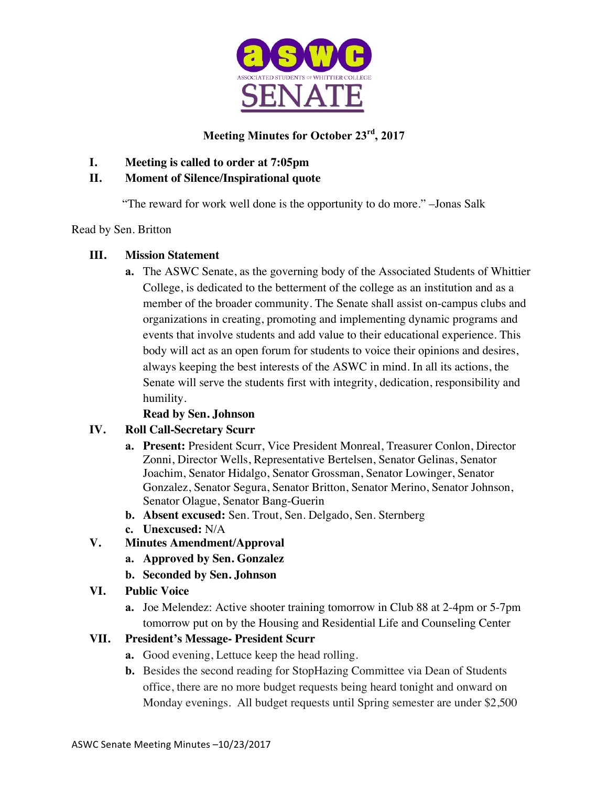

## **Meeting Minutes for October 23rd, 2017**

**I. Meeting is called to order at 7:05pm**

## **II. Moment of Silence/Inspirational quote**

"The reward for work well done is the opportunity to do more." –Jonas Salk

## Read by Sen. Britton

## **III. Mission Statement**

**a.** The ASWC Senate, as the governing body of the Associated Students of Whittier College, is dedicated to the betterment of the college as an institution and as a member of the broader community. The Senate shall assist on-campus clubs and organizations in creating, promoting and implementing dynamic programs and events that involve students and add value to their educational experience. This body will act as an open forum for students to voice their opinions and desires, always keeping the best interests of the ASWC in mind. In all its actions, the Senate will serve the students first with integrity, dedication, responsibility and humility.

## **Read by Sen. Johnson**

## **IV. Roll Call-Secretary Scurr**

- **a. Present:** President Scurr, Vice President Monreal, Treasurer Conlon, Director Zonni, Director Wells, Representative Bertelsen, Senator Gelinas, Senator Joachim, Senator Hidalgo, Senator Grossman, Senator Lowinger, Senator Gonzalez, Senator Segura, Senator Britton, Senator Merino, Senator Johnson, Senator Olague, Senator Bang-Guerin
- **b. Absent excused:** Sen. Trout, Sen. Delgado, Sen. Sternberg
- **c. Unexcused:** N/A

## **V. Minutes Amendment/Approval**

- **a. Approved by Sen. Gonzalez**
- **b. Seconded by Sen. Johnson**

## **VI. Public Voice**

**a.** Joe Melendez: Active shooter training tomorrow in Club 88 at 2-4pm or 5-7pm tomorrow put on by the Housing and Residential Life and Counseling Center

## **VII. President's Message- President Scurr**

- **a.** Good evening, Lettuce keep the head rolling.
- **b.** Besides the second reading for StopHazing Committee via Dean of Students office, there are no more budget requests being heard tonight and onward on Monday evenings. All budget requests until Spring semester are under \$2,500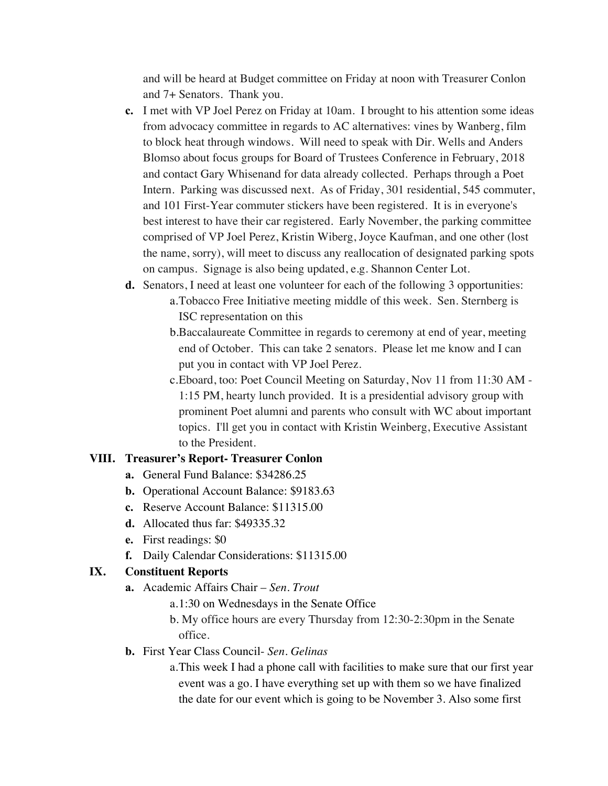and will be heard at Budget committee on Friday at noon with Treasurer Conlon and 7+ Senators. Thank you.

- **c.** I met with VP Joel Perez on Friday at 10am. I brought to his attention some ideas from advocacy committee in regards to AC alternatives: vines by Wanberg, film to block heat through windows. Will need to speak with Dir. Wells and Anders Blomso about focus groups for Board of Trustees Conference in February, 2018 and contact Gary Whisenand for data already collected. Perhaps through a Poet Intern. Parking was discussed next. As of Friday, 301 residential, 545 commuter, and 101 First-Year commuter stickers have been registered. It is in everyone's best interest to have their car registered. Early November, the parking committee comprised of VP Joel Perez, Kristin Wiberg, Joyce Kaufman, and one other (lost the name, sorry), will meet to discuss any reallocation of designated parking spots on campus. Signage is also being updated, e.g. Shannon Center Lot.
- **d.** Senators, I need at least one volunteer for each of the following 3 opportunities: a.Tobacco Free Initiative meeting middle of this week. Sen. Sternberg is ISC representation on this
	- b.Baccalaureate Committee in regards to ceremony at end of year, meeting end of October. This can take 2 senators. Please let me know and I can put you in contact with VP Joel Perez.
	- c.Eboard, too: Poet Council Meeting on Saturday, Nov 11 from 11:30 AM 1:15 PM, hearty lunch provided. It is a presidential advisory group with prominent Poet alumni and parents who consult with WC about important topics. I'll get you in contact with Kristin Weinberg, Executive Assistant to the President.

#### **VIII. Treasurer's Report- Treasurer Conlon**

- **a.** General Fund Balance: \$34286.25
- **b.** Operational Account Balance: \$9183.63
- **c.** Reserve Account Balance: \$11315.00
- **d.** Allocated thus far: \$49335.32
- **e.** First readings: \$0
- **f.** Daily Calendar Considerations: \$11315.00

#### **IX. Constituent Reports**

- **a.** Academic Affairs Chair *Sen. Trout*
	- a.1:30 on Wednesdays in the Senate Office
	- b. My office hours are every Thursday from 12:30-2:30pm in the Senate office.
- **b.** First Year Class Council- *Sen. Gelinas*
	- a.This week I had a phone call with facilities to make sure that our first year event was a go. I have everything set up with them so we have finalized the date for our event which is going to be November 3. Also some first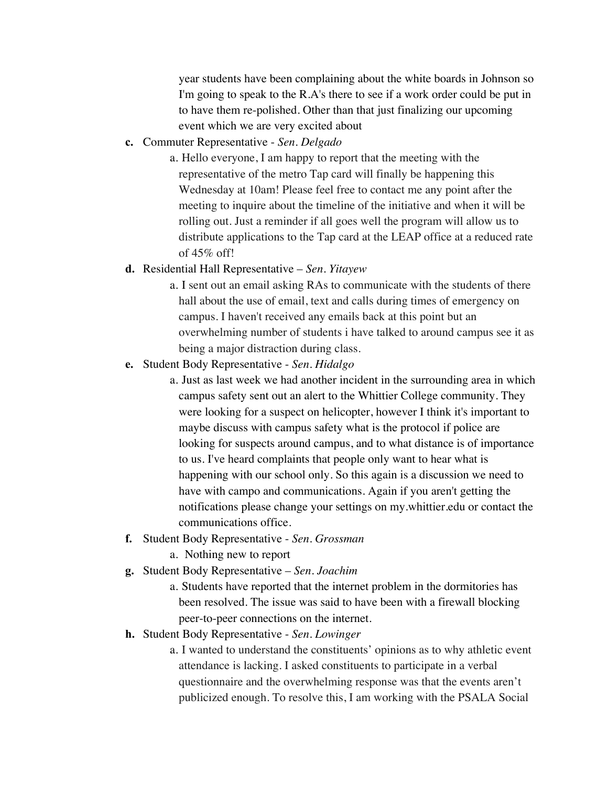year students have been complaining about the white boards in Johnson so I'm going to speak to the R.A's there to see if a work order could be put in to have them re-polished. Other than that just finalizing our upcoming event which we are very excited about

**c.** Commuter Representative - *Sen. Delgado*

a. Hello everyone, I am happy to report that the meeting with the representative of the metro Tap card will finally be happening this Wednesday at 10am! Please feel free to contact me any point after the meeting to inquire about the timeline of the initiative and when it will be rolling out. Just a reminder if all goes well the program will allow us to distribute applications to the Tap card at the LEAP office at a reduced rate of  $45\%$  off!

#### **d.** Residential Hall Representative – *Sen. Yitayew*

a. I sent out an email asking RAs to communicate with the students of there hall about the use of email, text and calls during times of emergency on campus. I haven't received any emails back at this point but an overwhelming number of students i have talked to around campus see it as being a major distraction during class.

#### **e.** Student Body Representative - *Sen. Hidalgo*

- a. Just as last week we had another incident in the surrounding area in which campus safety sent out an alert to the Whittier College community. They were looking for a suspect on helicopter, however I think it's important to maybe discuss with campus safety what is the protocol if police are looking for suspects around campus, and to what distance is of importance to us. I've heard complaints that people only want to hear what is happening with our school only. So this again is a discussion we need to have with campo and communications. Again if you aren't getting the notifications please change your settings on my.whittier.edu or contact the communications office.
- **f.** Student Body Representative *Sen. Grossman* a. Nothing new to report
- **g.** Student Body Representative *Sen. Joachim*
	- a. Students have reported that the internet problem in the dormitories has been resolved. The issue was said to have been with a firewall blocking peer-to-peer connections on the internet.
- **h.** Student Body Representative *Sen. Lowinger*
	- a. I wanted to understand the constituents' opinions as to why athletic event attendance is lacking. I asked constituents to participate in a verbal questionnaire and the overwhelming response was that the events aren't publicized enough. To resolve this, I am working with the PSALA Social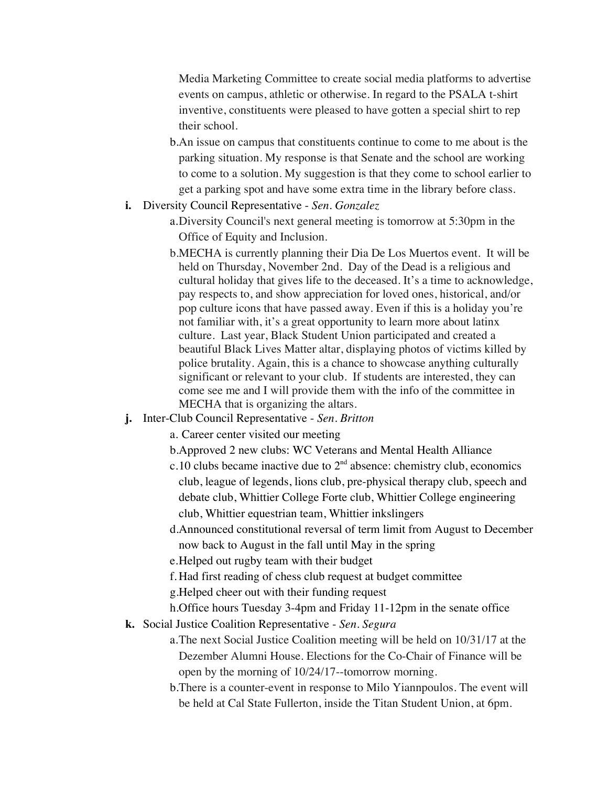Media Marketing Committee to create social media platforms to advertise events on campus, athletic or otherwise. In regard to the PSALA t-shirt inventive, constituents were pleased to have gotten a special shirt to rep their school.

- b.An issue on campus that constituents continue to come to me about is the parking situation. My response is that Senate and the school are working to come to a solution. My suggestion is that they come to school earlier to get a parking spot and have some extra time in the library before class.
- **i.** Diversity Council Representative *Sen. Gonzalez*
	- a.Diversity Council's next general meeting is tomorrow at 5:30pm in the Office of Equity and Inclusion.
	- b.MECHA is currently planning their Dia De Los Muertos event. It will be held on Thursday, November 2nd. Day of the Dead is a religious and cultural holiday that gives life to the deceased. It's a time to acknowledge, pay respects to, and show appreciation for loved ones, historical, and/or pop culture icons that have passed away. Even if this is a holiday you're not familiar with, it's a great opportunity to learn more about latinx culture. Last year, Black Student Union participated and created a beautiful Black Lives Matter altar, displaying photos of victims killed by police brutality. Again, this is a chance to showcase anything culturally significant or relevant to your club. If students are interested, they can come see me and I will provide them with the info of the committee in MECHA that is organizing the altars.
- **j.** Inter-Club Council Representative *Sen. Britton*
	- a. Career center visited our meeting
	- b.Approved 2 new clubs: WC Veterans and Mental Health Alliance
	- c.10 clubs became inactive due to  $2<sup>nd</sup>$  absence: chemistry club, economics club, league of legends, lions club, pre-physical therapy club, speech and debate club, Whittier College Forte club, Whittier College engineering club, Whittier equestrian team, Whittier inkslingers
	- d.Announced constitutional reversal of term limit from August to December now back to August in the fall until May in the spring
	- e.Helped out rugby team with their budget
	- f. Had first reading of chess club request at budget committee
	- g.Helped cheer out with their funding request
	- h.Office hours Tuesday 3-4pm and Friday 11-12pm in the senate office
- **k.** Social Justice Coalition Representative *Sen. Segura*
	- a.The next Social Justice Coalition meeting will be held on 10/31/17 at the Dezember Alumni House. Elections for the Co-Chair of Finance will be open by the morning of 10/24/17--tomorrow morning.
	- b.There is a counter-event in response to Milo Yiannpoulos. The event will be held at Cal State Fullerton, inside the Titan Student Union, at 6pm.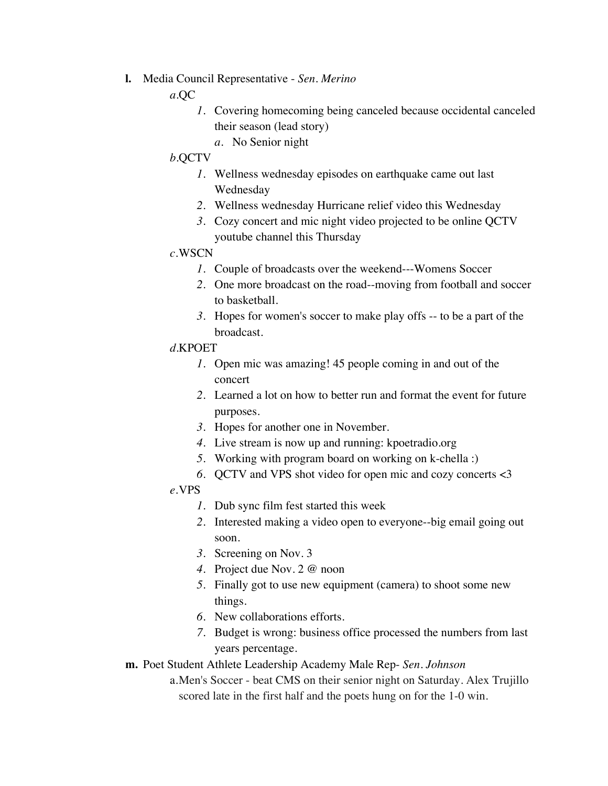**l.** Media Council Representative - *Sen. Merino*

*a.*QC

- *1.* Covering homecoming being canceled because occidental canceled their season (lead story)
	- *a.* No Senior night

## *b.*QCTV

- *1.* Wellness wednesday episodes on earthquake came out last Wednesday
- *2.* Wellness wednesday Hurricane relief video this Wednesday
- *3.* Cozy concert and mic night video projected to be online QCTV youtube channel this Thursday

## *c.*WSCN

- *1.* Couple of broadcasts over the weekend---Womens Soccer
- *2.* One more broadcast on the road--moving from football and soccer to basketball.
- *3.* Hopes for women's soccer to make play offs -- to be a part of the broadcast.

## *d.*KPOET

- *1.* Open mic was amazing! 45 people coming in and out of the concert
- *2.* Learned a lot on how to better run and format the event for future purposes.
- *3.* Hopes for another one in November.
- *4.* Live stream is now up and running: kpoetradio.org
- *5.* Working with program board on working on k-chella :)
- *6.* QCTV and VPS shot video for open mic and cozy concerts <3

## *e.*VPS

- *1.* Dub sync film fest started this week
- *2.* Interested making a video open to everyone--big email going out soon.
- *3.* Screening on Nov. 3
- *4.* Project due Nov. 2 @ noon
- *5.* Finally got to use new equipment (camera) to shoot some new things.
- *6.* New collaborations efforts.
- *7.* Budget is wrong: business office processed the numbers from last years percentage.

## **m.** Poet Student Athlete Leadership Academy Male Rep- *Sen. Johnson*

a.Men's Soccer - beat CMS on their senior night on Saturday. Alex Trujillo scored late in the first half and the poets hung on for the 1-0 win.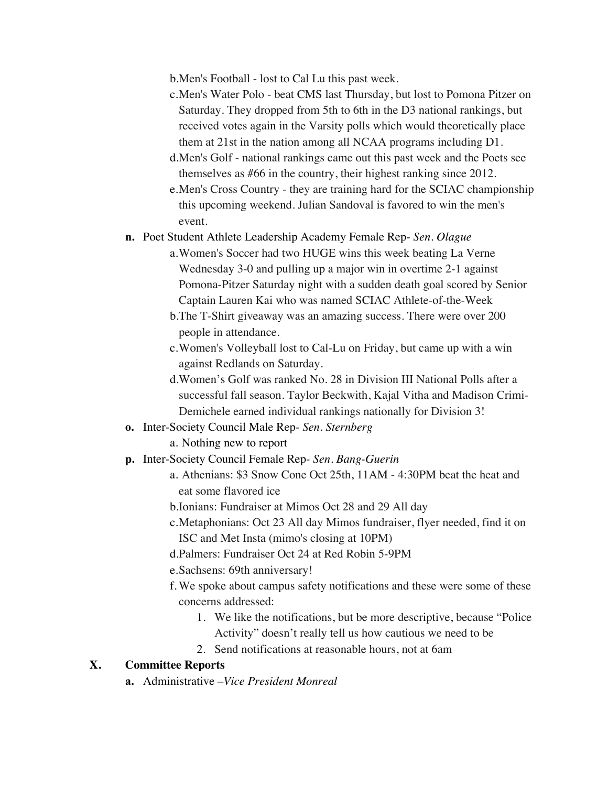b.Men's Football - lost to Cal Lu this past week.

- c.Men's Water Polo beat CMS last Thursday, but lost to Pomona Pitzer on Saturday. They dropped from 5th to 6th in the D3 national rankings, but received votes again in the Varsity polls which would theoretically place them at 21st in the nation among all NCAA programs including D1.
- d.Men's Golf national rankings came out this past week and the Poets see themselves as #66 in the country, their highest ranking since 2012.
- e.Men's Cross Country they are training hard for the SCIAC championship this upcoming weekend. Julian Sandoval is favored to win the men's event.

**n.** Poet Student Athlete Leadership Academy Female Rep- *Sen. Olague*

- a.Women's Soccer had two HUGE wins this week beating La Verne Wednesday 3-0 and pulling up a major win in overtime 2-1 against Pomona-Pitzer Saturday night with a sudden death goal scored by Senior Captain Lauren Kai who was named SCIAC Athlete-of-the-Week
- b.The T-Shirt giveaway was an amazing success. There were over 200 people in attendance.
- c.Women's Volleyball lost to Cal-Lu on Friday, but came up with a win against Redlands on Saturday.
- d.Women's Golf was ranked No. 28 in Division III National Polls after a successful fall season. Taylor Beckwith, Kajal Vitha and Madison Crimi-Demichele earned individual rankings nationally for Division 3!
- **o.** Inter-Society Council Male Rep- *Sen. Sternberg*
	- a. Nothing new to report
- **p.** Inter-Society Council Female Rep- *Sen. Bang-Guerin*
	- a. Athenians: \$3 Snow Cone Oct 25th, 11AM 4:30PM beat the heat and eat some flavored ice
	- b.Ionians: Fundraiser at Mimos Oct 28 and 29 All day
	- c.Metaphonians: Oct 23 All day Mimos fundraiser, flyer needed, find it on ISC and Met Insta (mimo's closing at 10PM)
	- d.Palmers: Fundraiser Oct 24 at Red Robin 5-9PM

e.Sachsens: 69th anniversary!

- f. We spoke about campus safety notifications and these were some of these concerns addressed:
	- 1. We like the notifications, but be more descriptive, because "Police Activity" doesn't really tell us how cautious we need to be
	- 2. Send notifications at reasonable hours, not at 6am

#### **X. Committee Reports**

**a.** Administrative –*Vice President Monreal*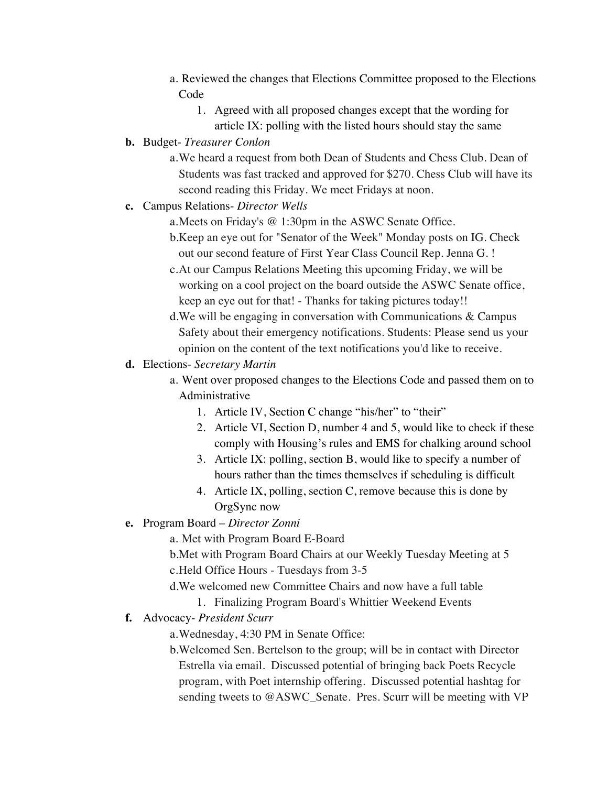- a. Reviewed the changes that Elections Committee proposed to the Elections Code
	- 1. Agreed with all proposed changes except that the wording for article IX: polling with the listed hours should stay the same
- **b.** Budget- *Treasurer Conlon*

a.We heard a request from both Dean of Students and Chess Club. Dean of Students was fast tracked and approved for \$270. Chess Club will have its second reading this Friday. We meet Fridays at noon.

- **c.** Campus Relations- *Director Wells*
	- a.Meets on Friday's @ 1:30pm in the ASWC Senate Office.
	- b.Keep an eye out for "Senator of the Week" Monday posts on IG. Check out our second feature of First Year Class Council Rep. Jenna G. !
	- c.At our Campus Relations Meeting this upcoming Friday, we will be working on a cool project on the board outside the ASWC Senate office, keep an eye out for that! - Thanks for taking pictures today!!
	- d.We will be engaging in conversation with Communications & Campus Safety about their emergency notifications. Students: Please send us your opinion on the content of the text notifications you'd like to receive.
- **d.** Elections- *Secretary Martin*
	- a. Went over proposed changes to the Elections Code and passed them on to Administrative
		- 1. Article IV, Section C change "his/her" to "their"
		- 2. Article VI, Section D, number 4 and 5, would like to check if these comply with Housing's rules and EMS for chalking around school
		- 3. Article IX: polling, section B, would like to specify a number of hours rather than the times themselves if scheduling is difficult
		- 4. Article IX, polling, section C, remove because this is done by OrgSync now
- **e.** Program Board *Director Zonni*

a. Met with Program Board E-Board

b.Met with Program Board Chairs at our Weekly Tuesday Meeting at 5 c.Held Office Hours - Tuesdays from 3-5

- d.We welcomed new Committee Chairs and now have a full table
	- 1. Finalizing Program Board's Whittier Weekend Events
- **f.** Advocacy- *President Scurr*

a.Wednesday, 4:30 PM in Senate Office:

b.Welcomed Sen. Bertelson to the group; will be in contact with Director Estrella via email. Discussed potential of bringing back Poets Recycle program, with Poet internship offering. Discussed potential hashtag for sending tweets to @ASWC\_Senate. Pres. Scurr will be meeting with VP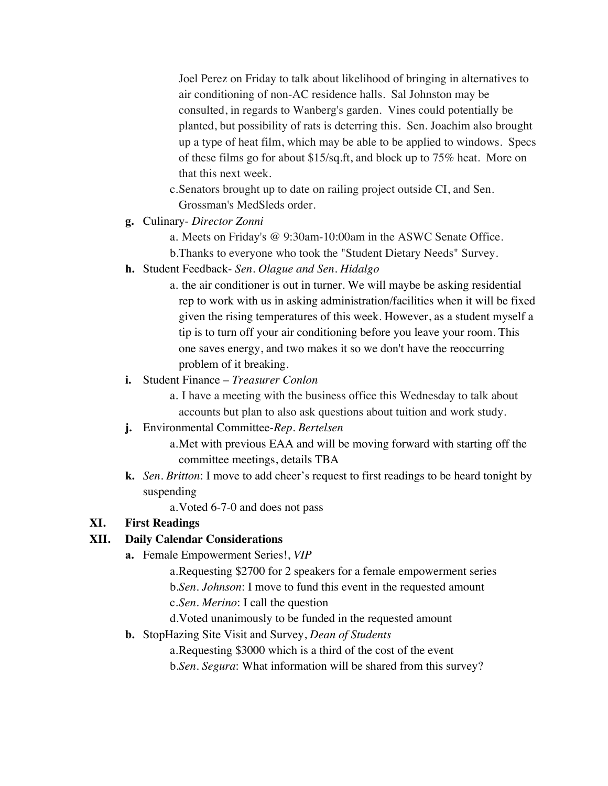Joel Perez on Friday to talk about likelihood of bringing in alternatives to air conditioning of non-AC residence halls. Sal Johnston may be consulted, in regards to Wanberg's garden. Vines could potentially be planted, but possibility of rats is deterring this. Sen. Joachim also brought up a type of heat film, which may be able to be applied to windows. Specs of these films go for about \$15/sq.ft, and block up to 75% heat. More on that this next week.

- c.Senators brought up to date on railing project outside CI, and Sen. Grossman's MedSleds order.
- **g.** Culinary- *Director Zonni*

a. Meets on Friday's @ 9:30am-10:00am in the ASWC Senate Office. b.Thanks to everyone who took the "Student Dietary Needs" Survey.

- **h.** Student Feedback- *Sen. Olague and Sen. Hidalgo*
	- a. the air conditioner is out in turner. We will maybe be asking residential rep to work with us in asking administration/facilities when it will be fixed given the rising temperatures of this week. However, as a student myself a tip is to turn off your air conditioning before you leave your room. This one saves energy, and two makes it so we don't have the reoccurring problem of it breaking.
- **i.** Student Finance *Treasurer Conlon*
	- a. I have a meeting with the business office this Wednesday to talk about accounts but plan to also ask questions about tuition and work study.
- **j.** Environmental Committee-*Rep. Bertelsen*
	- a.Met with previous EAA and will be moving forward with starting off the committee meetings, details TBA
- **k.** *Sen. Britton*: I move to add cheer's request to first readings to be heard tonight by suspending

a.Voted 6-7-0 and does not pass

## **XI. First Readings**

## **XII. Daily Calendar Considerations**

**a.** Female Empowerment Series!, *VIP*

a.Requesting \$2700 for 2 speakers for a female empowerment series b.*Sen. Johnson*: I move to fund this event in the requested amount c.*Sen*. *Merino*: I call the question

d.Voted unanimously to be funded in the requested amount

**b.** StopHazing Site Visit and Survey, *Dean of Students*

a.Requesting \$3000 which is a third of the cost of the event

b.*Sen. Segura*: What information will be shared from this survey?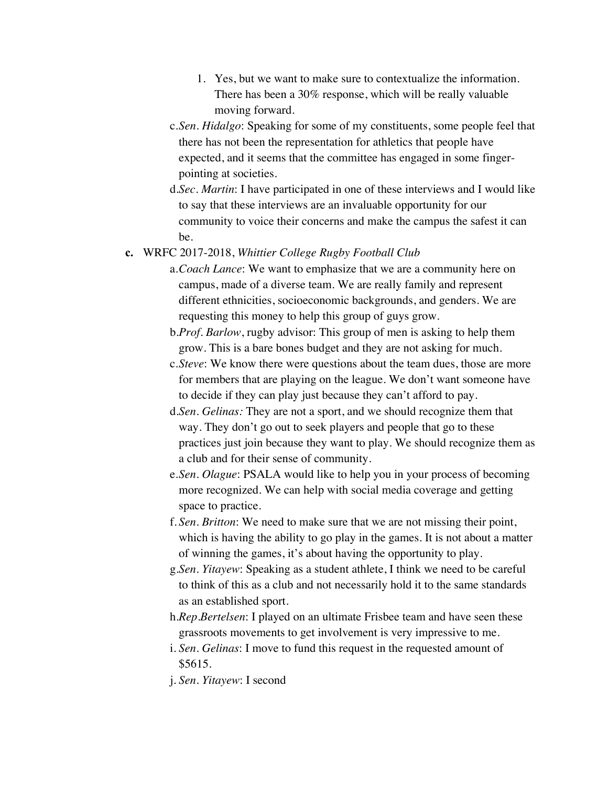- 1. Yes, but we want to make sure to contextualize the information. There has been a 30% response, which will be really valuable moving forward.
- c.*Sen. Hidalgo*: Speaking for some of my constituents, some people feel that there has not been the representation for athletics that people have expected, and it seems that the committee has engaged in some fingerpointing at societies.
- d.*Sec. Martin*: I have participated in one of these interviews and I would like to say that these interviews are an invaluable opportunity for our community to voice their concerns and make the campus the safest it can be.

#### **c.** WRFC 2017-2018, *Whittier College Rugby Football Club*

- a.*Coach Lance*: We want to emphasize that we are a community here on campus, made of a diverse team. We are really family and represent different ethnicities, socioeconomic backgrounds, and genders. We are requesting this money to help this group of guys grow.
- b.*Prof. Barlow*, rugby advisor: This group of men is asking to help them grow. This is a bare bones budget and they are not asking for much.
- c.*Steve*: We know there were questions about the team dues, those are more for members that are playing on the league. We don't want someone have to decide if they can play just because they can't afford to pay.
- d.*Sen. Gelinas:* They are not a sport, and we should recognize them that way. They don't go out to seek players and people that go to these practices just join because they want to play. We should recognize them as a club and for their sense of community.
- e.*Sen. Olague*: PSALA would like to help you in your process of becoming more recognized. We can help with social media coverage and getting space to practice.
- f. *Sen*. *Britton*: We need to make sure that we are not missing their point, which is having the ability to go play in the games. It is not about a matter of winning the games, it's about having the opportunity to play.
- g.*Sen*. *Yitayew*: Speaking as a student athlete, I think we need to be careful to think of this as a club and not necessarily hold it to the same standards as an established sport.
- h.*Rep*.*Bertelsen*: I played on an ultimate Frisbee team and have seen these grassroots movements to get involvement is very impressive to me.
- i. *Sen*. *Gelinas*: I move to fund this request in the requested amount of \$5615.
- j. *Sen*. *Yitayew*: I second